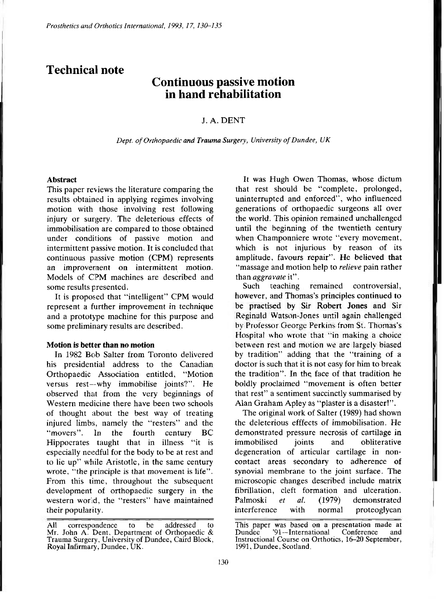## **Technical note**

# **Continuous passive motion in hand rehabilitation**

### J. A. DENT

*Dept. of Orthopaedic and Trauma Surgery, University of Dundee, UK* 

#### **Abstract**

This paper reviews the literature comparing the results obtained in applying regimes involving motion with those involving rest following injury or surgery. The deleterious effects of immobilisation are compared to those obtained under conditions of passive motion and intermittent passive motion. It is concluded that continuous passive motion (CPM) represents an improvement on intermittent motion. Models of CPM machines are described and some results presented.

It is proposed that "intelligent" CPM would represent a further improvement in technique and a prototype machine for this purpose and some preliminary results are described.

#### **Motion is better than no motion**

In 1982 Bob Salter from Toronto delivered his presidential address to the Canadian Orthopaedic Association entitled, "Motion versus rest—why immobilise joints?". He observed that from the very beginnings of Western medicine there have been two schools of thought about the best way of treating injured limbs, namely the "resters" and the "movers". In the fourth century BC Hippocrates taught that in illness "it is especially needful for the body to be at rest and to lie up" while Aristotle, in the same century wrote, "the principle is that movement is life". From this time, throughout the subsequent development of orthopaedic surgery in the western world, the "resters" have maintained their popularity.

It was Hugh Owen Thomas, whose dictum that rest should be "complete, prolonged, uninterrupted and enforced", who influenced generations of orthopaedic surgeons all over the world. This opinion remained unchallenged until the beginning of the twentieth century when Champonniere wrote "every movement, which is not injurious by reason of its amplitude, favours repair". He believed that "massage and motion help to *relieve* pain rather than *aggravate* it".

Such teaching remained controversial, however, and Thomas's principles continued to be practised by Sir Robert Jones and Sir Reginald Watson-Jones until again challenged by Professor George Perkins from St. Thomas**'s**  Hospital who wrote that "in making a choice between rest and motion we are largely biased by tradition" adding that the "training of a doctor is such that it is not easy for him to break the tradition". In the face of that tradition he boldly proclaimed "movement is often better that rest" a sentiment succinctly summarised by Alan Graham Apley as "plaster is a disaster!".

The original work of Salter (1989) had shown the deleterious efffects of immobilisation. He demonstrated pressure necrosis of cartilage in immobilised joints and obliterative degeneration of articular cartilage in noncontact areas secondary to adherence of synovial membrane to the joint surface. The microscopic changes described include matrix fibrillation, cleft formation and ulceration. Palmoski *et al.* (1979) demonstrated interference with normal proteoglycan

**All correspondence to be addressed to Mr. John A. Dent, Department of Orthopaedic & Trauma Surgery, University of Dundee, Caird Block, Royal Infirmary, Dundee , UK.** 

**This paper was based on a presentation made at Dundee '91—International Conference and Instructional Course on Orthotics, 16-20 September, 1991, Dundee , Scotland.**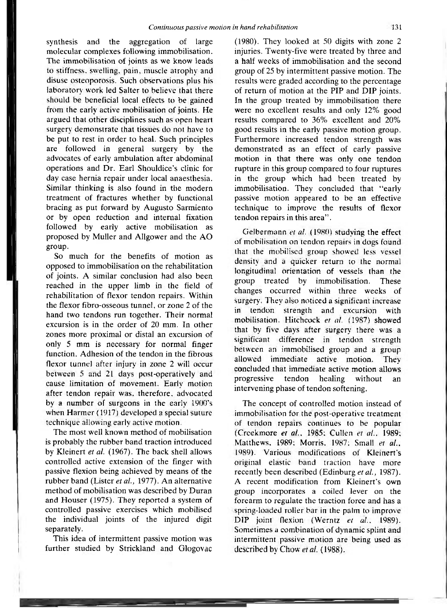synthesis and the aggregation of large molecular complexes following immobilisation. The immobilisation of joints as we know leads to stiffness, swelling, pain, muscle atrophy and disuse osteoporosis. Such observations plus his laboratory work led Salter to believe that there should be beneficial local effects to be gained from the early active mobilisation of joints. He argued that other disciplines such as open heart surgery demonstrate that tissues do not have to be put to rest in order to heal. Such principles are followed in general surgery by the advocates of early ambulation after abdominal operations and Dr. Earl Shouldice's clinic for day case hernia repair under local anaesthesia. Similar thinking is also found in the modern treatment of fractures whether by functional bracing as put forward by Augusto Sarmiento or by open reduction and internal fixation followed by early active mobilisation as proposed by Muller and Allgower and the AO group.

So much for the benefits of motion as opposed to immobilisation on the rehabilitation of joints. A similar conclusion had also been reached in the upper limb in the field of rehabilitation of flexor tendon repairs. Within the flexor fibro-osseous tunnel, or zone 2 of the hand two tendons run together. Their normal excursion is in the order of 20 mm. In other zones more proximal or distal an excursion of only 5 mm is necessary for normal finger function. Adhesion of the tendon in the fibrous flexor tunnel after injury in zone 2 will occur between 5 and 21 days post-operatively and cause limitation of movement. Early motion after tendon repair was, therefore, advocated by a number of surgeons in the early 1900's when Harmer (1917) developed a special suture technique allowing early active motion,

The most well known method of mobilisation is probably the rubber band traction introduced by Kleinert *et al.* (1967). The back shell allows controlled active extension of the finger with passive flexion being achieved by means of the rubber band (Lister *et al.,* 1977). An alternative method of mobilisation was described by Duran and Houser (1975). They reported a system of controlled passive exercises which mobilised the individual joints of the injured digit separately.

This idea of intermittent passive motion was further studied by Strickland and Glogovac (1980). They looked at 50 digits with zone 2 injuries. Twenty-five were treated by three and a half weeks of immobilisation and the second group of 25 by intermittent passive motion. The results were graded according to the percentage of return of motion at the PIP and DIP joints. In the group treated by immobilisation there were no excellent results and only 12% good results compared to 36% excellent and 20% good results in the early passive motion group. Furthermore increased tendon strength was demonstrated as an effect of early passive motion in that there was only one tendon rupture in this group compared to four ruptures in the group which had been treated by immobilisation. They concluded that "early passive motion appeared to be an effective technique to improve the results of flexor tendon repairs in this area".

Gelbermann *et al.* (1980) studying the effect of mobilisation on tendon repairs in dogs found that the mobilised group showed less vessel density and a quicker return to the normal longitudinal orientation of vessels than the group treated by immobilisation. These changes occurred within three weeks of surgery. They also noticed a significant increase in tendon strength and excursion with mobilisation. Hitchcock *et al.* (1987) showed that by five days after surgery there was a significant difference in tendon strength between an immobilised group and a group allowed immediate active motion. They concluded that immediate active motion allows progressive tendon healing without an intervening phase of tendon softening.

The concept of controlled motion instead of immobilisation for the post-operative treatment of tendon repairs continues to be popular (Creekmore *et al.,* 1985; Cullen *et al.* 1989: Matthews. 1989; Morris. 1987: Small *et al.,*  1989). Various modifications of Kleinert's original elastic band traction have more recently been described (Edinburg *et al.,* 1987). A recent modification from Kleinert's own group incorporates a coiled lever on the forearm to regulate the traction force and has a spring-loaded roller bar in the palm to improve DIP joint flexion (Werntz *et al.* 1989). Sometimes a combination of dynamic splint and intermittent passive motion are being used as described by Chow *et al.* (1988).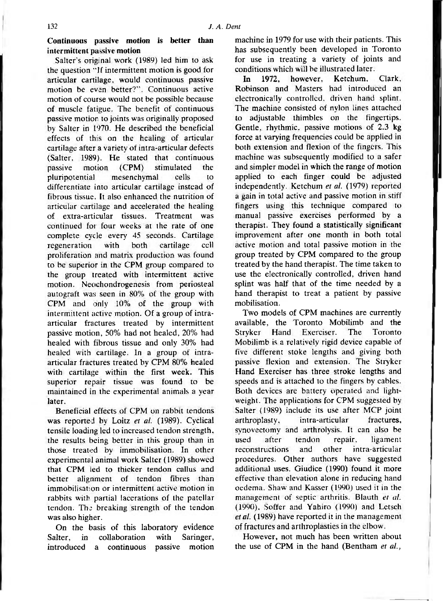**Continuous passive motion is better than intermittent passive motion** 

Salter's original work (1989) led him to ask the question "If intermittent motion is good for articular cartilage, would continuous passive motion be even better?". Continuous active motion of course would not be possible because of muscle fatigue. The benefit of continuous passive motion to joints was originally proposed by Salter in 1970. He described the beneficial effects of this on the healing of articular cartilage after a variety of intra-articular defects (Salter, 1989). He stated that continuous passive motion (CPM) stimulated the pluripotential mesenchymal cells to differentiate into articular cartilage instead of fibrous tissue. It also enhanced the nutrition of articular cartilage and accelerated the healing of extra-articular tissues. Treatment was continued for four weeks at the rate of one complete cycle every 45 seconds. Cartilage regeneration with both cartilage cell proliferation and matrix production was found to be superior in the CPM group compared to the group treated with intermittent active motion. Neochondrogenesis from periosteal autograft was seen in 80% of the group with CPM and only 10% of the group with intermittent active motion. Of a group of intraarticular fractures treated by intermittent passive motion, 50% had not healed, 20% had healed with fibrous tissue and only 30% had healed with cartilage. In a group of intraarticular fractures treated by CPM 80% healed with cartilage within the first week. This superior repair tissue was found to be maintained in the experimental animals a year later.

Beneficial effects of CPM on rabbit tendons was reported by Loitz *et al.* (1989). Cyclical tensile loading led to increased tendon strength, the results being better in this group than in those treated by immobilisation. In other experimental animal work Salter ( 1989) showed that CPM led to thicker tendon callus and better alignment of tendon fibres than immobilisation or intermittent active motion in rabbits with partial lacerations of the patellar tendon. The breaking strength of the tendon was also higher.

On the basis of this laboratory evidence Salter, in collaboration with Saringer, introduced a continuous passive motion

machine in 1979 for use with their patients. This has subsequently been developed in Toronto for use in treating a variety of joints and conditions which will be illustrated later.

In 1972. however, Ketchum, Clark, Robinson and Masters had introduced an electronically controlled, driven hand splint. The machine consisted of nylon lines attached to adjustable thimbles on the fingertips. Gentle, rhythmic, passive motions of 2.3 kg force at varying frequencies could be applied in both extension and flexion of the fingers. This machine was subsequently modified to a safer and simpler model in which the range of motion applied to each finger could be adjusted independently. Ketchum e*t al.* (1979) reported a gain in total active and passive motion in stiff fingers using this technique compared to manual passive exercises performed by a therapist. They found a statistically significant improvement after one month in both total active motion and total passive motion in the group treated by CPM compared to the group treated by the hand therapist. The time taken to use the electronically controlled, driven hand splint was half that of the time needed by a hand therapist to treat a patient by passive mobilisation.

Two models of CPM machines are currently available, the Toronto Mobilimb and the Stryker Hand Exerciser. The Toronto Mobilimb is a relatively rigid device capable of five different stoke lengths and giving both passive flexion and extension. The Stryker Hand Exerciser has three stroke lengths and speeds and is attached to the fingers by cables. Both devices are battery operated and lightweight. The applications for CPM suggested by Salter (1989) include its use after MCP joint arthroplasty, intra-articular fractures, synovectomy and arthrolysis. It can also be used after tendon repair, ligament reconstructions and other intra-articular procedures. Other authors have suggested additional uses. Giudice (1990) found it more effective than elevation alone in reducing hand oedema. Shaw and Kasser (1990) used it in the management of septic arthritis. Blauth et al. (1990), Soffer and Yahiro (1990) and Letsch et al. (1989) have reported it in the management of fractures and arthroplasties in the elbow.

However, not much has been written about the use of CPM in the hand (Bentham *et al.,*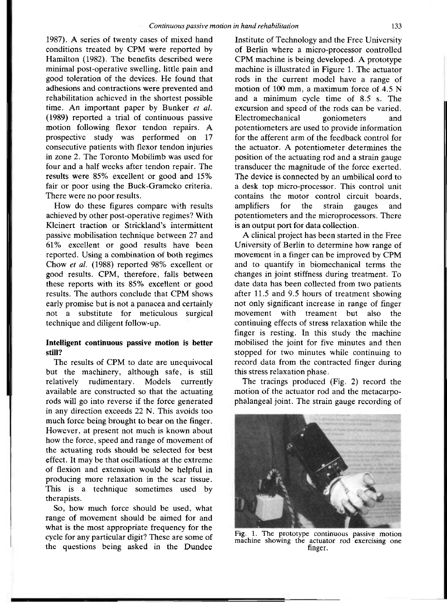1987). A series of twenty cases of mixed hand conditions treated by CPM were reported by Hamilton (1982). The benefits described were minimal post-operative swelling, little pain and good toleration of the devices. He found that adhesions and contractions were prevented and rehabilitation achieved in the shortest possible time. An important paper by Bunker *et al.*  (1989) reported a trial of continuous passive motion following flexor tendon repairs. A prospective study was performed on 17 consecutive patients with flexor tendon injuries in zone 2. The Toronto Mobilimb was used for four and a half weeks after tendon repair. The results were 85% excellent or good and 15% fair or poor using the Buck-Gramcko criteria. There were no poor results.

How do these figures compare with results achieved by other post-operative regimes? With Kleinert traction or Strickland's intermittent passive mobilisation technique between 27 and 61% excellent or good results have been reported. Using a combination of both regimes Chow *et al.* (1988) reported 98% excellent or good results. CPM, therefore, falls between these reports with its 85% excellent or good results. The authors conclude that CPM shows early promise but is not a panacea and certainly not a substitute for meticulous surgical technique and diligent follow-up.

### **Intelligent continuous passive motion is better still?**

The results of CPM to date are unequivocal but the machinery, although safe, is still relatively rudimentary. Models currently available are constructed so that the actuating rods will go into reverse if the force generated in any direction exceeds 22 N. This avoids too much force being brought to bear on the finger. However, at present not much is known about how the force, speed and range of movement of the actuating rods should be selected for best effect. It may be that oscillations at the extreme of flexion and extension would be helpful in producing more relaxation in the scar tissue. This is a technique sometimes used by therapists.

So, how much force should be used, what range of movement should be aimed for and what is the most appropriate frequency for the cycle for any particular digit? These are some of the questions being asked in the Dundee Institute of Technology and the Free University of Berlin where a micro-processor controlled CPM machine is being developed. A prototype machine is illustrated in Figure 1. The actuator rods in the current model have a range of motion of 100 mm, a maximum force of 4.5 N and a minimum cycle time of 8.5 s. The excursion and speed of the rods can be varied. Electromechanical goniometers and potentiometers are used to provide information for the afferent arm of the feedback control for the actuator. A potentiometer determines the position of the actuating rod and a strain gauge transducer the magnitude of the force exerted. The device is connected by an umbilical cord to a desk top micro-processor. This control unit contains the motor control circuit boards, amplifiers for the strain gauges and potentiometers and the microprocessors. There is an output port for data collection.

A clinical project has been started in the Free University of Berlin to determine how range of movement in a finger can be improved by CPM and to quantify in biomechanical terms the changes in joint stiffness during treatment. To date data has been collected from two patients after 11.5 and 9.5 hours of treatment showing not only significant increase in range of finger movement with treament but also the continuing effects of stress relaxation while the finger is resting. In this study the machine mobilised the joint for five minutes and then stopped for two minutes while continuing to record data from the contracted finger during this stress relaxation phase.

The tracings produced (Fig. 2) record the motion of the actuator rod and the metacarpophalangeal joint. The strain gauge recording of



**Fig. 1. The prototype continuous passive motion machine showing the actuator rod exercising one**  finger.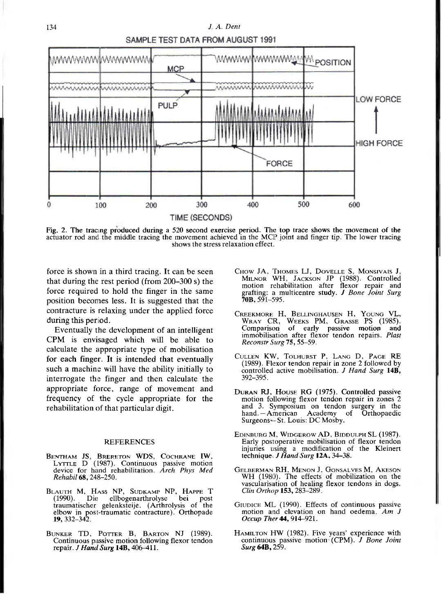

Fig. 2. The tracing produced during a 520 second exercise period. The top trace shows the movement of the<br>actuator rod and the middle tracing the movement achieved in the MCP joint and finger tip. The lower tracing **shows the stress relaxation effect.** 

force is shown in a third tracing. It can be seen that during the rest period (from 200-300 s) the force required to hold the finger in the same position becomes less. It is suggested that the contracture is relaxing under the applied force during this period.

Eventually the development of an intelligent CPM is envisaged which will be able to calculate the appropriate type of mobilisation for each finger. It is intended **that** eventually such a machine will have the ability initially to interrogate the finger and then calculate the appropriate force, range of movement and frequency of the cycle appropriate for the rehabilitation of that particular digit.

#### **REFERENCES**

- BENTHAM JS, BRERETON WDS, COCHRANE IW, **LYTTLE D (1987). Continuous passive motion device for hand rehabilitation.** *Arch Phys Med Rehabil* **68 , 248-250.**
- **BLAUTH M, HASS NP, SUDKAMP NP, HAPPE T (1990). Die; ellbogenarthrolyse bei post traumatischer gelenksteije. (Arthrolysis of the**  elbow in post-traumatic contracture). Orthopade **19**, 332–342.
- **BUNKER TD, POTTER B, BARTON NJ (1989). Continuous passive motion following flexor tendon repair.** *J Hand Surg* **14B , 406-411.**
- **CHOW JA, THOMES LJ, DOVELLE S, MONSIVAIS J, MILNOR WH, JACKSON JP (1988). Controlled motion rehabilitation after flexor repair and grafting: a multicentre study.** *J Bone Joint Surg*  **70B , 591-595.**
- Creekmore H, Bellinghausen H, Young VL,<br>Wray CR, Weeks PM, Grasse PS (1985). **Comparison of early passive motion and immobilisation after flexor tendon repairs.** *Plast Reconstr Surg* **75 , 55-59.**
- **CULLEN KW, TOLHURST P, LANG D , PAGE RE (1989). Flexor tendon repair in zone 2 followed by controlled active mobilisation.** *J Hand Surg* **14B , 392-395.**
- **DURAN RJ, HOUSE RG (1975). Controlled passive motion following flexor tendon repair in zones 2 and 3. Symposium on tendon surgery in the hand.—American Academy of Orthopaedic**  Surgeons--St. Louis: DC Mosby.
- **EDINBURG M, WIDGEROW AD , BIDDULPH SL (1987). Early postoperative mobilisation of flexor tendon injuries using a modification of the Kleinen technique** *J Hand Surg* **12A . 34**-38.
- **GELBERMAN RH, MENON J, GONSALVES M, AKESON WH (1980). The effects of mobilization on the vascularisation of healing flexor tendons in dogs.**  *Clin Orthop* **153 , 283-289.**
- GIUDICE ML (1990). Effects of continuous passive **motion and elevation on hand oedema.** *Am J Occup Ther* **44,914-921 .**
- **HAMILTON HW (1982). Five years' experience with continuous passive motion (CPM).** *J Bone Joint*  **S***urg* **64B , 259.**